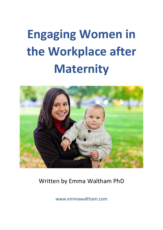# **Engaging Women in the Workplace after Maternity**



## Written by Emma Waltham PhD

www.emmawaltham.com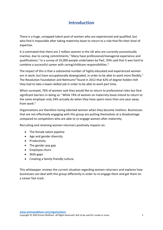## **Introduction**

There is a huge, untapped talent pool of women who are experienced and qualified, but who find it impossible after taking maternity leave to return to a role that fits their level of expertise.

It is estimated that there are 2 million women in the UK who are currently economically inactive, due to caring commitments.<sup>1</sup> Many have professional/managerial experience and qualifications. 2 In a survey of 25,000 people undertaken by PwC, 93% said that it was hard to combine a successful career with caring/childcare responsibilities.<sup>3</sup>

The impact of this is that a substantial number of highly educated and experienced women are in work, but have occupationally downgraded, in order to be able to work more flexibly.<sup>1</sup> The Resolution Foundation and Netmums<sup>4</sup> found in 2012 that 42% of degree holders felt they had to take a lower-skilled job in order to be able to work part time.

When surveyed, 76% of women said they would like to return to professional roles but face significant barriers in doing so.<sup>1</sup> While 74% of women on maternity leave intend to return to the same employer only 24% actually do when they have spent more than one year away from work. 5

Organisations are therefore losing talented women when they become mothers. Businesses that are not effectively engaging with this group are putting themselves at a disadvantage compared to competitors who are able to re-engage women after maternity.

Recruiting and retaining women returners positively impacts on:

- The female talent pipeline
- Age and gender diversity
- Productivity
- The gender pay gap
- Employee churn
- Skills gaps
- Creating a family-friendly culture.

This whitepaper reviews the current situation regarding women returners and explores how businesses can deal with this group differently in order to re-engage them and get them on a career fast track.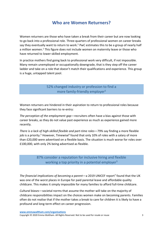## **Who are Women Returners?**

Women returners are those who have taken a break from their career but are now looking to go back into a professional role. Three-quarters of professional women on career breaks say they eventually want to return to work.<sup>1</sup> PwC estimates this to be a group of nearly half a million women. <sup>1</sup> This figure does not include women on maternity leave or those who have returned to lower-skilled employment.

In practice mothers find going back to professional work very difficult, if not impossible. Many remain unemployed or occupationally downgrade, that is they step off the career ladder and take on a role that doesn't match their qualifications and experience. This group is a huge, untapped talent pool.

> 52% changed industry or profession to find a more family-friendly employer<sup>5</sup>

Women returners are hindered in their aspiration to return to professional roles because they face significant barriers to re-entry:

*The perception of the employment gap*—recruiters often have a bias against those with career breaks, as they do not value past experience as much as experience gained more recently.

*There is a lack of high-skilled flexible and part-time roles*—79% say finding a more flexible job is a priority.<sup>5</sup> However, Timewise<sup>6</sup> found that only 10% of roles with a salary of more than £20,000 were advertised on a flexible basis. The situation is much worse for roles over £100,000, with only 2% being advertised as flexible.

> 87% consider a reputation for inclusive hiring and flexible working a top priority in a potential employer<sup>5</sup>

The financial implications of becoming a parent-a 2019 UNICEF report<sup>7</sup> found that the UK was one of the worst places in Europe for paid parental leave and affordable quality childcare. This makes it simply impossible for many families to afford full-time childcare.

*Cultural biases*—societal norms that assume the mother will take on the majority of childcare responsibilities impact on the choices women make on becoming parents. Families often do not realise that if the mother takes a break to care for children it is likely to have a profound and long-term effect on career progression.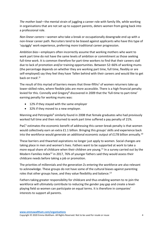*The mother load*—the mental strain of juggling a career role with family life, while working in organisations that are not set up to support parents, deters women from going back into a professional role.

*Non-linear careers*—women who take a break or occupationally downgrade end up with a non-linear career path. Recruiters tend to be biased against applicants who have this type of 'squiggly' work experience, preferring more traditional career progression.

*Ambition bias*—employers often incorrectly assume that working mothers who want to work part time do not have the same levels of ambition or commitment as those seeking full-time work. It is common therefore for part-time workers to find that their careers stall due to lack of promotion and/or training opportunities. Between 52–66% of working mums (the percentage depends on whether they are working part time, full time, flexibly or are self-employed) say they feel they have 'fallen behind with their careers and would like to get back on track'. 6

The result of this myriad of barriers means that three-fifths<sup>1</sup> of women returners take up lower-skilled roles, where flexible jobs are more accessible. There is a high financial penalty levied for this. Connolly and Gregory<sup>8</sup> discovered in 2009 that the 'full-time to part-time' earning penalty for working mums was:

- 12% if they stayed with the same employer
- 32% if they moved to a new employer.

Manning and Petrongolo<sup>9</sup> similarly found in 2008 that female graduates who had previously worked full time and then returned to work part time suffered a pay penalty of 21%.

PwC<sup>1</sup> estimates the economic benefit of addressing this career-break penalty is that women would collectively earn an extra £1.1 billion. Bringing this groups' skills and experience back into the workforce would generate an additional economic output of £178 billion annually.<sup>10</sup>

These barriers and thwarted aspirations no longer just apply to women. Social changes are taking place in men and women's lives. Fathers want to be supported at work to take a more equal share of childcare when their children are young.<sup>11</sup> In a survey carried out by the Modern Families Index<sup>12</sup> in 2017, 76% of younger fathers said they would assess their childcare needs before taking a job or promotion.

The priorities of millennials and the generation Zs entering the workforce are also relevant to acknowledge. These groups do not have some of the cultural biases against parenting roles that other groups have, and they value flexibility and balance.<sup>13</sup>

Fathers taking greater responsibility for childcare and thus enabling women to re-join the workforce will ultimately contribute to reducing the gender pay gap and create a levelplaying field so women can participate on equal terms. It is therefore in companies' interests to support all parents.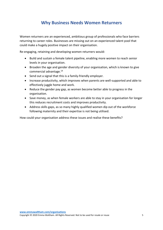## **Why Business Needs Women Returners**

Women returners are an experienced, ambitious group of professionals who face barriers returning to career roles. Businesses are missing out on an experienced talent pool that could make a hugely positive impact on their organisation.

Re-engaging, retaining and developing women returners would:

- Build and sustain a female talent pipeline, enabling more women to reach senior levels in your organisation.
- Broaden the age and gender diversity of your organisation, which is known to give commercial advantage.<sup>14</sup>
- Send out a signal that this is a family-friendly employer.
- Increase productivity, which improves when parents are well-supported and able to effectively juggle home and work.
- Reduce the gender pay gap, as women become better able to progress in the organisation.
- Save money, as when female workers are able to stay in your organisation for longer this reduces recruitment costs and improves productivity.
- Address skills gaps, as so many highly qualified women dip out of the workforce following maternity and their expertise is not being utilised.

How could your organisation address these issues and realise these benefits?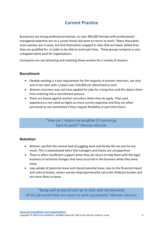## **Current Practice**

Businesses are losing professional women, as over 400,000 females with professional/ managerial expertise are on a career break and want to return to work. <sup>1</sup> Many thousands more women are in work, but find themselves trapped in roles that are lower skilled than they are qualified for, in order to be able to work part time. These groups comprise a vast, untapped talent pool for organisations.

Companies are not attracting and retaining these women for a variety of reasons:

#### **Recruitment**

- Flexible working is a key requirement for the majority of women returners, yet only one in ten roles with a salary over £20,000 are advertised as such.
- Women returners may not have applied for jobs for a long time and this deters them from entering into a recruitment process.
- There are biases against women recruiters when they do apply. Their past experience is not rated as highly as more current expertise and they are often perceived as not committed if they request flexibility or part-time hours.

"How can I inspire my daughter if I cannot go back to work?" Woman returner

#### **Retention**

- Women say that the mental load of juggling work and family life can just be too much. This is exacerbated when line managers and teams are unsupportive.
- There is often insufficient support when they do return to help them with the legal, business or technical changes that have occurred in the business while they were away.
- Low uptake of paternity leave and shared parental leave, due to the financial impact and cultural biases, means women disproportionality carry the childcare burden and are more likely to leave.

"Being well-prepared and up-to-date with the demands of the job would help me return to work successfully" Woman returner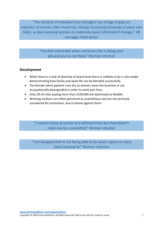"The mindset of individual line managers has a huge impact on retention of women after maternity. Having structured processes in place also helps, as does keeping women on maternity leave informed of changes" HR manager, food sector

> "You feel vulnerable when someone else is doing your job and you're not there" Woman returner

#### **Development**

- When there is a lack of diversity at board level there is unlikely to be a role model demonstrating how family and work life can be blended successfully.
- The female talent pipeline runs dry as women leave the business or are occupationally downgraded in order to work part time.
- Only 2% of roles paying more than £100,000 are advertised as flexible.
- Working mothers are often perceived as unambitious and are not seriously considered for promotion, due to biases against them.

"I need to leave at certain pre-defined times but that doesn't make me less committed" Woman returner

"I am disappointed at not being able to do what I spent so many years training for" Woman returner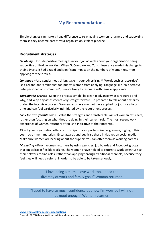## **My Recommendations**

Simple changes can make a huge difference to re-engaging women returners and supporting them so they become part of your organisation's talent pipeline.

#### **Recruitment strategies**

*Flexibility* – Include positive messages in your job adverts about your organisation being supportive of flexible working. When GoCompare and Zurich Insurance made this change to their adverts, it had a rapid and significant impact on the numbers of women returners applying for their roles.

*Language* – Use gender-neutral language in your advertising. <sup>15</sup> Words such as 'assertive', 'self-reliant' and 'ambitious' can put off women from applying. Language like 'co-operative', 'interpersonal' or 'committed', is more likely to resonate with female applicants.

**Simplify the process** – Keep the process simple, be clear in advance what is required and why, and keep any assessments very straightforward. Be prepared to talk about flexibility during the interview process. Women returners may not have applied for jobs for a long time and can feel particularly intimidated by the recruitment process.

*Look for transferable skills* – Value the strengths and transferable skills of women returners, rather than focusing on what they are doing in their current role. The most recent work experience of women returners often isn't indicative of their potential.

*PR* – If your organisation offers returnships or a supported-hire programme, highlight this in your recruitment materials. Enter awards and publicise these initiatives on social media. Make sure women are hearing about the support you can offer them as working parents.

*Marketing* – Reach women returners by using agencies, job boards and Facebook groups that specialise in flexible working. The women I have helped to return to work often turn to their network to find roles, rather than applying through traditional channels, because they feel they will need a referral in order to be able to be taken seriously.

> "I love being a mum. I love work too. I need the diversity of work and family goals" Woman returner

"I used to have so much confidence but now I'm worried I will not be good enough" Woman returner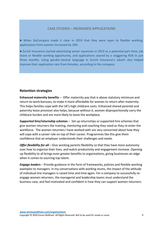#### **CASE STUDIES – INCREASED APPLICATIONS**

⚫ When GoCompare made it clear in 2019 that they were open to flexible working, applications from women increased by 18%.

⚫ Zurich Insurance started advertising senior vacancies in 2019 as a potential part-time, job share or flexible working opportunity, and applications soared by a staggering 45% in just three months. Using gender-neutral language in Zurich Insurance's advert also helped improve their application rate from females, according to the company.

#### **Retention strategies**

**Enhanced maternity benefits** – Offer maternity pay that is above statutory minimum and return-to-work bonuses, to make it more affordable for women to return after maternity. This helps families cope with the UK's high childcare costs. Enhanced shared parental and paternity leave provision also helps, because without it, women disproportionally carry the childcare burden and are more likely to leave the workplace.

*Supported hire/returnship schemes* – Set up returnships or supported hire schemes that give women returners the training, mentoring and coaching they need as they re-enter the workforce. The women returners I have worked with are very concerned about how they will cope with a career role on top of their career. Programmes like this give them confidence that an employer understands their challenges and needs.

*Offer flexibility for all* – Give working parents flexibility so that they have more autonomy over how to organise their lives, and watch productivity and engagement increase. Opening up flexibility to all brings even greater benefits to organisations, giving businesses an edge when it comes to sourcing top talent.

*Engage leaders* – Provide guidance in the form of frameworks, policies and flexible-working examples to managers. In my conversations with working mums, the impact of the attitude of individual line managers is raised time and time again. For a company to successfully reengage women returners, the managerial and leadership teams must understand the business case, and feel motivated and confident in how they can support women returners.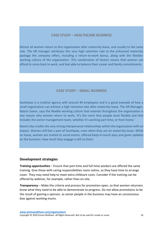#### **CASE STUDY – HEALTHCARE BUSINESS**

Almost all women return to this organisation after maternity leave, and usually to the same role. The HR manager attributes this very high retention rate to the enhanced maternity package the company offers, including a return-to-work bonus, along with the flexibleworking culture of the organisation. This combination of factors means that women can afford to come back to work, and feel able to balance their career and family commitments.

#### **CASE STUDY – SMALL BUSINESS**

Southpaw is a creative agency with around 40 employees and is a good example of how a small organisation can achieve a high retention rate after maternity leave. The HR Manager, Naomi Saxon, says the flexible working culture that extends throughout the organisation is one reason why women return to work, 'It's the norm that people work flexibly and that includes the senior management team, whether it's working part time, or from home.'

Naomi also credits the very strong interpersonal relationships within the organisation with an impact. Women still feel a part of Southpaw, even when they are on maternity leave. While on leave, women are invited to social events, offered keep-in-touch days and given updates on the business. How much they engage is left to them.

#### **Development strategies**

*Training opportunities* – Ensure that part-time and full-time workers are offered the same training. Give those with caring responsibilities more notice, so they have time to arrange cover. They may need help to meet extra childcare costs. Consider if the training can be offered by webinar, for example, rather than on-site.

*Transparency* – Make the criteria and process for promotion open, so that women returners know what they need to be able to demonstrate to progress. Do not allow promotions to be the result of gaining a sponsor, as senior people in the business may have an unconscious bias against working mums.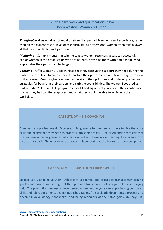#### "All the hard work and qualifications have been wasted" Woman returner

*Transferable skills* – Judge potential on strengths, past achievements and experience, rather than on the current role or level of responsibility, as professional women often take a lowerskilled role in order to work part time.

*Mentoring* – Set up a mentoring scheme to give women returners access to successful, senior women in the organisation who are parents, providing them with a role model who appreciates their particular challenges.

*Coaching* – Offer women 1:1 coaching so that they receive the support they need during the maternity transition, to enable them to sustain their performance and take a long-term view of their career. Coaching helps women understand their priorities and to develop effective strategies for balancing their careers and caring responsibilities. The women I coached as part of Oxfam's Future Skills programme, said it had significantly increased their confidence in what they had to offer employers and what they would be able to achieve in the workplace.

#### **CASE STUDY – 1:1 COACHING**

Compass set up a Leadership Accelerator Programme for women returners to give them the skills and experience they need to progress into senior roles. Director Amanda Scott says that the women on the programme particularly value the 1:1 executive coaching they receive from an external coach. The opportunity to access this support was the key reason women applied.

#### **CASE STUDY – PROMOTION FRAMEWORK**

Liz Ince is a Managing Solution Architect at Capgemini and praises its transparency around grades and promotion, saying that the open and transparent policies give all a level-playing field. The promotion process is documented online and anyone can apply having compared skills and job requirements against published tables. 'It is a clearly documented process and doesn't involve dodgy handshakes and being members of the same golf club,' says Liz.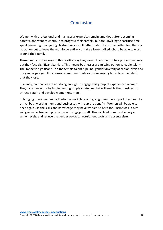## **Conclusion**

Women with professional and managerial expertise remain ambitious after becoming parents, and want to continue to progress their careers, but are unwilling to sacrifice time spent parenting their young children. As a result, after maternity, women often feel there is no option but to leave the workforce entirely or take a lower skilled job, to be able to work around their family.

Three-quarters of women in this position say they would like to return to a professional role but they face significant barriers. This means businesses are missing out on valuable talent. The impact is significant – on the female talent pipeline, gender diversity at senior levels and the gender pay gap. It increases recruitment costs as businesses try to replace the talent that they lose.

Currently, companies are not doing enough to engage this group of experienced women. They can change this by implementing simple strategies that will enable their business to attract, retain and develop women returners.

In bringing these women back into the workplace and giving them the support they need to thrive, both working mums and businesses will reap the benefits. Women will be able to once again use the skills and knowledge they have worked so hard for. Businesses in turn will gain expertise, and productive and engaged staff. This will lead to more diversity at senior levels, and reduce the gender pay gap, recruitment costs and absenteeism.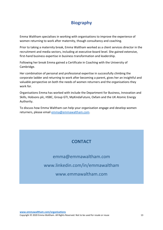## **Biography**

Emma Waltham specialises in working with organisations to improve the experience of women returning to work after maternity, though consultancy and coaching.

Prior to taking a maternity break, Emma Waltham worked as a client services director in the recruitment and media sectors, including at executive-board level. She gained extensive, first-hand business expertise in business transformation and leadership.

Following her break Emma gained a Certificate in Coaching with the University of Cambridge.

Her combination of personal and professional expertise in successfully climbing the corporate ladder and returning to work after becoming a parent, gives her an insightful and valuable perspective on both the needs of women returners and the organisations they work for.

Organisations Emma has worked with include the Department for Business, Innovation and Skills, Hobsons plc, HSBC, Group GTI, MyKindaFuture, Oxfam and the UK Atomic Energy Authority.

To discuss how Emma Waltham can help your organisation engage and develop women returners, please email [emma@emmawaltham.com.](mailto:emma@emmawaltham.com)

## **CONTACT**

[emma@emmawaltham.com](mailto:emma@emmawaltham.com) [www.linkedin.com/in/emmawaltham](http://www.linkedin.com/in/emmawaltham) [www.emmawaltham.com](http://www.emmawaltham.com/)